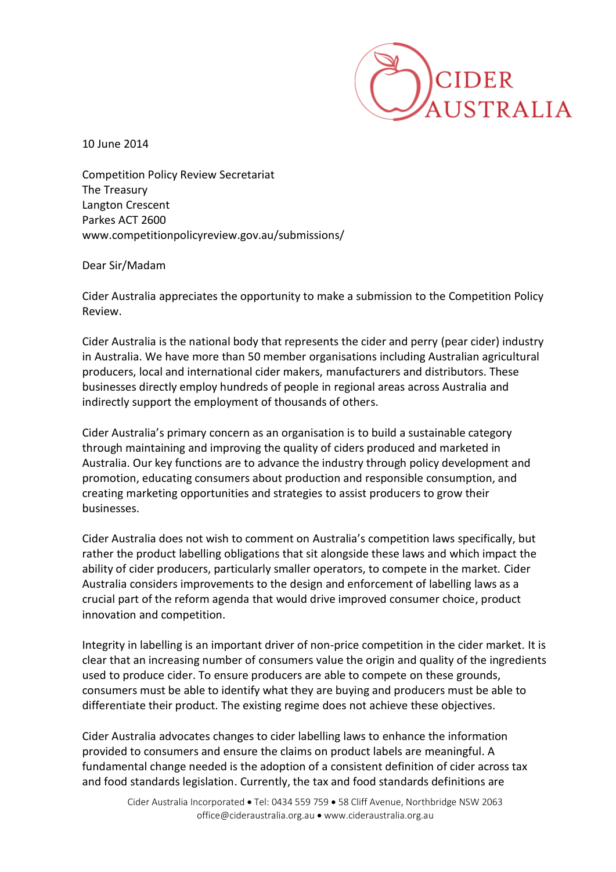

10 June 2014

Competition Policy Review Secretariat The Treasury Langton Crescent Parkes ACT 2600 www.competitionpolicyreview.gov.au/submissions/

Dear Sir/Madam

Cider Australia appreciates the opportunity to make a submission to the Competition Policy Review.

Cider Australia is the national body that represents the cider and perry (pear cider) industry in Australia. We have more than 50 member organisations including Australian agricultural producers, local and international cider makers, manufacturers and distributors. These businesses directly employ hundreds of people in regional areas across Australia and indirectly support the employment of thousands of others.

Cider Australia's primary concern as an organisation is to build a sustainable category through maintaining and improving the quality of ciders produced and marketed in Australia. Our key functions are to advance the industry through policy development and promotion, educating consumers about production and responsible consumption, and creating marketing opportunities and strategies to assist producers to grow their businesses.

Cider Australia does not wish to comment on Australia's competition laws specifically, but rather the product labelling obligations that sit alongside these laws and which impact the ability of cider producers, particularly smaller operators, to compete in the market. Cider Australia considers improvements to the design and enforcement of labelling laws as a crucial part of the reform agenda that would drive improved consumer choice, product innovation and competition.

Integrity in labelling is an important driver of non-price competition in the cider market. It is clear that an increasing number of consumers value the origin and quality of the ingredients used to produce cider. To ensure producers are able to compete on these grounds, consumers must be able to identify what they are buying and producers must be able to differentiate their product. The existing regime does not achieve these objectives.

Cider Australia advocates changes to cider labelling laws to enhance the information provided to consumers and ensure the claims on product labels are meaningful. A fundamental change needed is the adoption of a consistent definition of cider across tax and food standards legislation. Currently, the tax and food standards definitions are